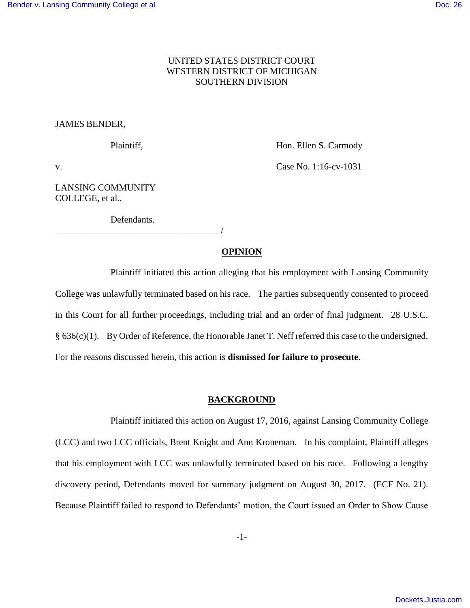## UNITED STATES DISTRICT COURT WESTERN DISTRICT OF MICHIGAN SOUTHERN DIVISION

## JAMES BENDER,

Plaintiff, **Hon. Ellen S. Carmody** 

v. **Case No. 1:16-cv-1031** 

LANSING COMMUNITY COLLEGE, et al.,

Defendants.

\_\_\_\_\_\_\_\_\_\_\_\_\_\_\_\_\_\_\_\_\_\_\_\_\_\_\_\_\_\_\_\_\_\_\_\_/

## **OPINION**

Plaintiff initiated this action alleging that his employment with Lansing Community College was unlawfully terminated based on his race. The parties subsequently consented to proceed in this Court for all further proceedings, including trial and an order of final judgment. 28 U.S.C. § 636(c)(1). By Order of Reference, the Honorable Janet T. Neff referred this case to the undersigned. For the reasons discussed herein, this action is **dismissed for failure to prosecute**.

## **BACKGROUND**

 Plaintiff initiated this action on August 17, 2016, against Lansing Community College (LCC) and two LCC officials, Brent Knight and Ann Kroneman. In his complaint, Plaintiff alleges that his employment with LCC was unlawfully terminated based on his race. Following a lengthy discovery period, Defendants moved for summary judgment on August 30, 2017. (ECF No. 21). Because Plaintiff failed to respond to Defendants' motion, the Court issued an Order to Show Cause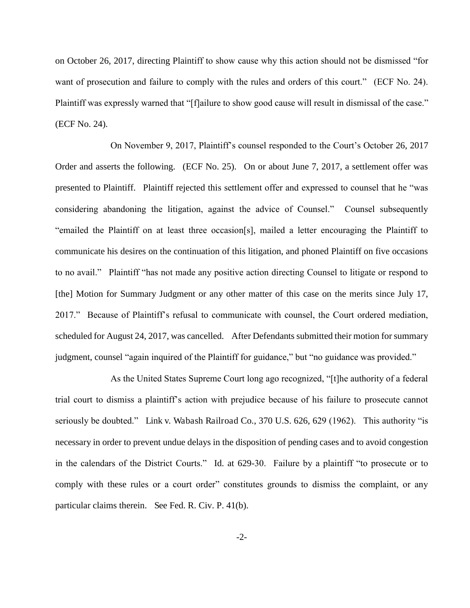on October 26, 2017, directing Plaintiff to show cause why this action should not be dismissed "for want of prosecution and failure to comply with the rules and orders of this court." (ECF No. 24). Plaintiff was expressly warned that "[f]ailure to show good cause will result in dismissal of the case." (ECF No. 24).

On November 9, 2017, Plaintiff's counsel responded to the Court's October 26, 2017 Order and asserts the following. (ECF No. 25). On or about June 7, 2017, a settlement offer was presented to Plaintiff. Plaintiff rejected this settlement offer and expressed to counsel that he "was considering abandoning the litigation, against the advice of Counsel." Counsel subsequently "emailed the Plaintiff on at least three occasion[s], mailed a letter encouraging the Plaintiff to communicate his desires on the continuation of this litigation, and phoned Plaintiff on five occasions to no avail." Plaintiff "has not made any positive action directing Counsel to litigate or respond to [the] Motion for Summary Judgment or any other matter of this case on the merits since July 17, 2017." Because of Plaintiff's refusal to communicate with counsel, the Court ordered mediation, scheduled for August 24, 2017, was cancelled. After Defendants submitted their motion for summary judgment, counsel "again inquired of the Plaintiff for guidance," but "no guidance was provided."

As the United States Supreme Court long ago recognized, "[t]he authority of a federal trial court to dismiss a plaintiff's action with prejudice because of his failure to prosecute cannot seriously be doubted." Link v. Wabash Railroad Co., 370 U.S. 626, 629 (1962). This authority "is necessary in order to prevent undue delays in the disposition of pending cases and to avoid congestion in the calendars of the District Courts." Id. at 629-30. Failure by a plaintiff "to prosecute or to comply with these rules or a court order" constitutes grounds to dismiss the complaint, or any particular claims therein. See Fed. R. Civ. P. 41(b).

-2-